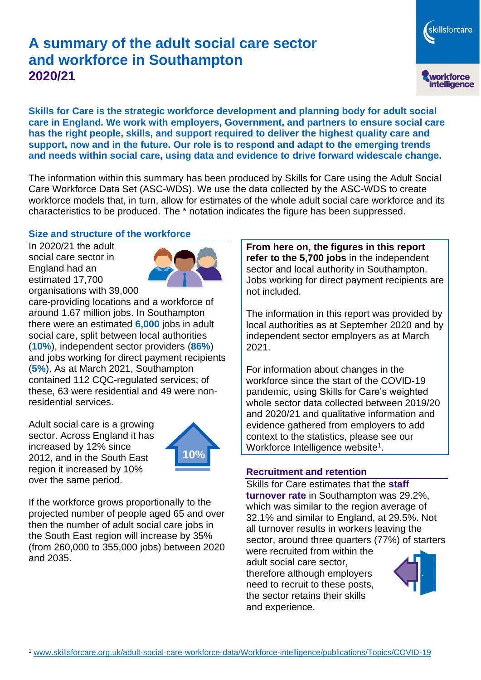# **A summary of the adult social care sector and workforce in Southampton 2020/21**

skillsforcare workforce<br>intelligence

**Skills for Care is the strategic workforce development and planning body for adult social care in England. We work with employers, Government, and partners to ensure social care has the right people, skills, and support required to deliver the highest quality care and support, now and in the future. Our role is to respond and adapt to the emerging trends and needs within social care, using data and evidence to drive forward widescale change.**

The information within this summary has been produced by Skills for Care using the Adult Social Care Workforce Data Set (ASC-WDS). We use the data collected by the ASC-WDS to create workforce models that, in turn, allow for estimates of the whole adult social care workforce and its characteristics to be produced. The \* notation indicates the figure has been suppressed.

## **Size and structure of the workforce**

In 2020/21 the adult social care sector in England had an estimated 17,700 organisations with 39,000



care-providing locations and a workforce of around 1.67 million jobs. In Southampton there were an estimated **6,000** jobs in adult social care, split between local authorities (**10%**), independent sector providers (**86%**) and jobs working for direct payment recipients (**5%**). As at March 2021, Southampton contained 112 CQC-regulated services; of these, 63 were residential and 49 were nonresidential services.

Adult social care is a growing sector. Across England it has increased by 12% since 2012, and in the South East region it increased by 10% over the same period.



If the workforce grows proportionally to the projected number of people aged 65 and over then the number of adult social care jobs in the South East region will increase by 35% (from 260,000 to 355,000 jobs) between 2020 and 2035.

**From here on, the figures in this report refer to the 5,700 jobs** in the independent sector and local authority in Southampton. Jobs working for direct payment recipients are not included.

The information in this report was provided by local authorities as at September 2020 and by independent sector employers as at March 2021.

For information about changes in the workforce since the start of the COVID-19 pandemic, using Skills for Care's weighted whole sector data collected between 2019/20 and 2020/21 and qualitative information and evidence gathered from employers to add context to the statistics, please see our Workforce Intelligence website<sup>1</sup>.

# **Recruitment and retention**

Skills for Care estimates that the **staff turnover rate** in Southampton was 29.2%, which was similar to the region average of 32.1% and similar to England, at 29.5%. Not all turnover results in workers leaving the sector, around three quarters (77%) of starters

were recruited from within the adult social care sector, therefore although employers need to recruit to these posts, the sector retains their skills and experience.

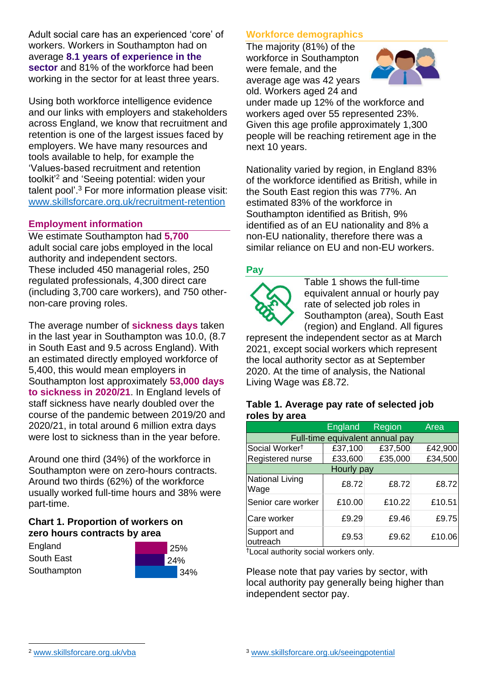Adult social care has an experienced 'core' of workers. Workers in Southampton had on average **8.1 years of experience in the sector** and 81% of the workforce had been working in the sector for at least three years.

Using both workforce intelligence evidence and our links with employers and stakeholders across England, we know that recruitment and retention is one of the largest issues faced by employers. We have many resources and tools available to help, for example the 'Values-based recruitment and retention toolkit'<sup>2</sup> and 'Seeing potential: widen your talent pool'. <sup>3</sup> For more information please visit: [www.skillsforcare.org.uk/recruitment-retention](http://www.skillsforcare.org.uk/recruitment-retention)

## **Employment information**

We estimate Southampton had **5,700** adult social care jobs employed in the local authority and independent sectors. These included 450 managerial roles, 250 regulated professionals, 4,300 direct care (including 3,700 care workers), and 750 othernon-care proving roles.

The average number of **sickness days** taken in the last year in Southampton was 10.0, (8.7 in South East and 9.5 across England). With an estimated directly employed workforce of 5,400, this would mean employers in Southampton lost approximately **53,000 days to sickness in 2020/21**. In England levels of staff sickness have nearly doubled over the course of the pandemic between 2019/20 and 2020/21, in total around 6 million extra days were lost to sickness than in the year before.

Around one third (34%) of the workforce in Southampton were on zero-hours contracts. Around two thirds (62%) of the workforce usually worked full-time hours and 38% were part-time.

# **Chart 1. Proportion of workers on zero hours contracts by area**

**England** South East **Southampton** 



# **Workforce demographics**

The majority (81%) of the workforce in Southampton were female, and the average age was 42 years old. Workers aged 24 and



under made up 12% of the workforce and workers aged over 55 represented 23%. Given this age profile approximately 1,300 people will be reaching retirement age in the next 10 years.

Nationality varied by region, in England 83% of the workforce identified as British, while in the South East region this was 77%. An estimated 83% of the workforce in Southampton identified as British, 9% identified as of an EU nationality and 8% a non-EU nationality, therefore there was a similar reliance on EU and non-EU workers.

## **Pay**



Table 1 shows the full-time equivalent annual or hourly pay rate of selected job roles in Southampton (area), South East (region) and England. All figures

represent the independent sector as at March 2021, except social workers which represent the local authority sector as at September 2020. At the time of analysis, the National Living Wage was £8.72.

#### **Table 1. Average pay rate of selected job roles by area**

|                                 | <b>England</b> | Region  | Area    |
|---------------------------------|----------------|---------|---------|
| Full-time equivalent annual pay |                |         |         |
| Social Worker <sup>t</sup>      | £37,100        | £37,500 | £42,900 |
| Registered nurse                | £33,600        | £35,000 | £34,500 |
| Hourly pay                      |                |         |         |
| National Living<br>Wage         | £8.72          | £8.72   | £8.72   |
| Senior care worker              | £10.00         | £10.22  | £10.51  |
| Care worker                     | £9.29          | £9.46   | £9.75   |
| Support and<br>outreach         | £9.53          | £9.62   | £10.06  |

†Local authority social workers only.

Please note that pay varies by sector, with local authority pay generally being higher than independent sector pay.

[www.skillsforcare.org.uk/vba](http://www.skillsforcare.org.uk/vba)